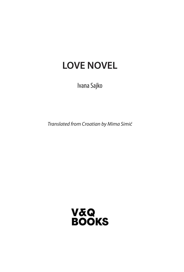## **LOVE NOVEL**

Ivana Sajko

*Translated from Croatian by Mima Simić*

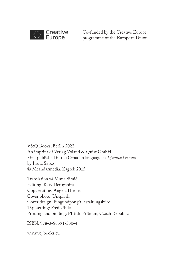

Co-funded by the Creative Europe programme of the European Union

V&Q Books, Berlin 2022 An imprint of Verlag Voland & Quist GmbH First published in the Croatian language as *Ljubavni roman*  by Ivana Sajko © Meandarmedia, Zagreb 2015

Translation © Mima Simić Editing: Katy Derbyshire Copy editing: Angela Hirons Cover photo: Unsplash Cover design: Pingundpong\*Gestaltungsbüro Typesetting: Fred Uhde Printing and binding: PBtisk, Příbram, Czech Republic

ISBN: 978-3-86391-330-4

www.vq-books.eu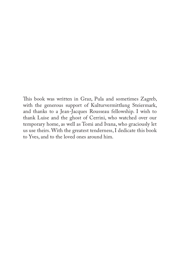This book was written in Graz, Pula and sometimes Zagreb, with the generous support of Kulturvermittlung Steiermark, and thanks to a Jean-Jacques Rousseau fellowship. I wish to thank Luise and the ghost of Cerrini, who watched over our temporary home, as well as Tomi and Ivana, who graciously let us use theirs. With the greatest tenderness, I dedicate this book to Yves, and to the loved ones around him.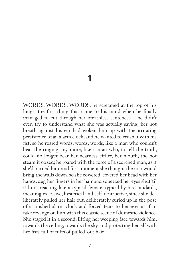**1**

WORDS, WORDS, WORDS, he screamed at the top of his lungs; the first thing that came to his mind when he finally managed to cut through her breathless sentences – he didn't even try to understand what she was actually saying; her hot breath against his ear had woken him up with the irritating persistence of an alarm clock, and he wanted to crush it with his fist, so he roared words, words, words, like a man who couldn't bear the ringing any more, like a man who, to tell the truth, could no longer bear her nearness either, her mouth, the hot steam it oozed; he roared with the force of a scorched man, as if she'd burned him, and for a moment she thought the roar would bring the walls down, so she cowered, covered her head with her hands, dug her fingers in her hair and squeezed her eyes shut 'til it hurt, reacting like a typical female, typical by his standards, meaning excessive, hysterical and self-destructive, since she deliberately pulled her hair out, deliberately curled up in the pose of a crushed alarm clock and forced tears to her eyes as if to take revenge on him with this classic scene of domestic violence. She staged it in a second, lifting her weeping face towards him, towards the ceiling, towards the sky, and protecting herself with her fists full of tufts of pulled-out hair.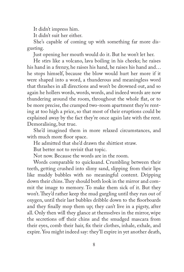It didn't impress him.

It didn't suit her either.

She's capable of coming up with something far more disgusting.

Just opening her mouth would do it. But he won't let her.

He stirs like a volcano, lava boiling in his cheeks; he raises his hand in a frenzy, he raises his hand, he raises his hand and… he stops himself, because the blow would hurt her more if it were shaped into a word, a thunderous and meaningless word that thrashes in all directions and won't be drowned out, and so again he hollers words, words, words, and indeed words are now thundering around the room, throughout the whole flat, or to be more precise, the cramped two-room apartment they're renting at too high a price, so that most of their eruptions could be explained away by the fact they're once again late with the rent. Demoralising, but true.

She'd imagined them in more relaxed circumstances, and with much more floor space.

He admitted that she'd drawn the shittiest straw.

But better not to revisit that topic.

Not now. Because the words are in the room.

Words comparable to quicksand. Crumbling between their teeth, getting crushed into slimy sand, slipping from their lips like muddy bubbles with no meaningful content. Dripping down their chins. They should both look in the mirror and commit the image to memory. To make them sick of it. But they won't. They'd rather keep the mud gurgling until they run out of oxygen, until their last bubbles dribble down to the floorboards and they finally mop them up; they can't live in a pigsty, after all. Only then will they glance at themselves in the mirror, wipe the secretions off their chins and the smudged mascara from their eyes, comb their hair, fix their clothes, inhale, exhale, and expire. You might indeed say: they'll expire in yet another death,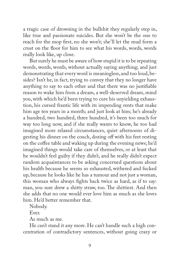a tragic case of drowning in the bullshit they regularly step in, like true and passionate suicides. But she won't be the one to reach for the mop first, no she won't; she'll let the mud form a crust on the floor for him to see what his words, words, words really look like, up close.

But surely he must be aware of how stupid it is to be repeating words, words, words, without actually saying anything; and just demonstrating that every word is meaningless, and too loud, besides? Isn't he, in fact, trying to convey that they no longer have anything to say to each other and that there was no justifiable reason to wake him from a dream, a well-deserved dream, mind you, with which he'd been trying to cure his unyielding exhaustion, his cursed frantic life with its impending rents that make him age ten years in a month; and just look at him; he's already a hundred, two hundred, three hundred, it's been too much for way too long now, and if she really wants to know, he too had imagined more relaxed circumstances, quiet afternoons of digesting his dinner on the couch, dozing off with his feet resting on the coffee table and waking up during the evening news; he'd imagined things would take care of themselves, or at least that he wouldn't feel guilty if they didn't, and he really didn't expect random acquaintances to be asking concerned questions about his health because he seems so exhausted, withered and fucked up, because he looks like he has a tumour and not just a woman, this woman who always fights back twice as hard, as if to say: man, you sure drew a shitty straw, too. The shittiest. And then she adds that no one would ever love him as much as she loves him. He'd better remember that.

Nobody.

Ever.

As much as me.

He can't stand it any more. He can't handle such a high concentration of contradictory sentences, without going crazy or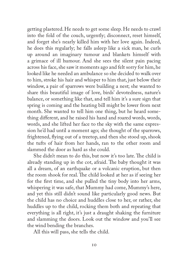getting plastered. He needs to get some sleep. He needs to crawl into the fold of the couch, urgently; disconnect, reset himself, and forget she's nearly killed him with her love again. Indeed, he does this regularly; he falls asleep like a sick man, he curls up around an imaginary tumour and blankets himself with a grimace of ill humour. And she sees the silent pain pacing across his face, she saw it moments ago and felt sorry for him, he looked like he needed an ambulance so she decided to walk over to him, stroke his hair and whisper to him that, just below their window, a pair of sparrows were building a nest; she wanted to share this beautiful image of love, birds' devotedness, nature's balance, or something like that, and tell him it's a sure sign that spring is coming and the heating bill might be lower from next month. She wanted to tell him one thing, but he heard something different, and he raised his hand and roared words, words, words, and she lifted her face to the sky with the same expression he'd had until a moment ago; she thought of the sparrows, frightened, flying out of a treetop, and then she stood up, shook the tufts of hair from her hands, ran to the other room and slammed the door as hard as she could.

She didn't mean to do this, but now it's too late. The child is already standing up in the cot, afraid. The baby thought it was all a dream, of an earthquake or a volcanic eruption, but then the room shook for real. The child looked at her as if seeing her for the first time, and she pulled the tiny body into her arms, whispering it was safe, that Mummy had come, Mummy's here, and yet this still didn't sound like particularly good news. But the child has no choice and huddles close to her, or rather, she huddles up to the child, rocking them both and repeating that everything is all right, it's just a draught shaking the furniture and slamming the doors. Look out the window and you'll see the wind bending the branches.

All this will pass, she tells the child.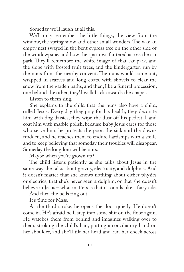Someday we'll laugh at all this.

We'll only remember the little things; the view from the window, the spring snow and other small wonders. The way an empty nest swayed in the bent cypress tree on the other side of the windowpane, and how the sparrows fluttered across the car park. They'll remember the white image of that car park, and the slope with frosted fruit trees, and the kindergarten run by the nuns from the nearby convent. The nuns would come out, wrapped in scarves and long coats, with shovels to clear the snow from the garden paths, and then, like a funeral procession, one behind the other, they'd walk back towards the chapel.

Listen to them sing.

She explains to the child that the nuns also have a child, called Jesus. Every day they pray for his health, they decorate him with dog daisies, they wipe the dust off his pedestal, and coat him with marble polish, because Baby Jesus cares for those who serve him; he protects the poor, the sick and the downtrodden, and he teaches them to endure hardships with a smile and to keep believing that someday their troubles will disappear. Someday the kingdom will be ours.

Maybe when you're grown up?

The child listens patiently as she talks about Jesus in the same way she talks about gravity, electricity, and dolphins. And it doesn't matter that she knows nothing about either physics or electrics, that she's never seen a dolphin, or that she doesn't believe in Jesus – what matters is that it sounds like a fairy tale.

And then the bells ring out.

It's time for Mass.

At the third stroke, he opens the door quietly. He doesn't come in. He's afraid he'll step into some shit on the floor again. He watches them from behind and imagines walking over to them, stroking the child's hair, putting a conciliatory hand on her shoulder, and she'll tilt her head and run her cheek across